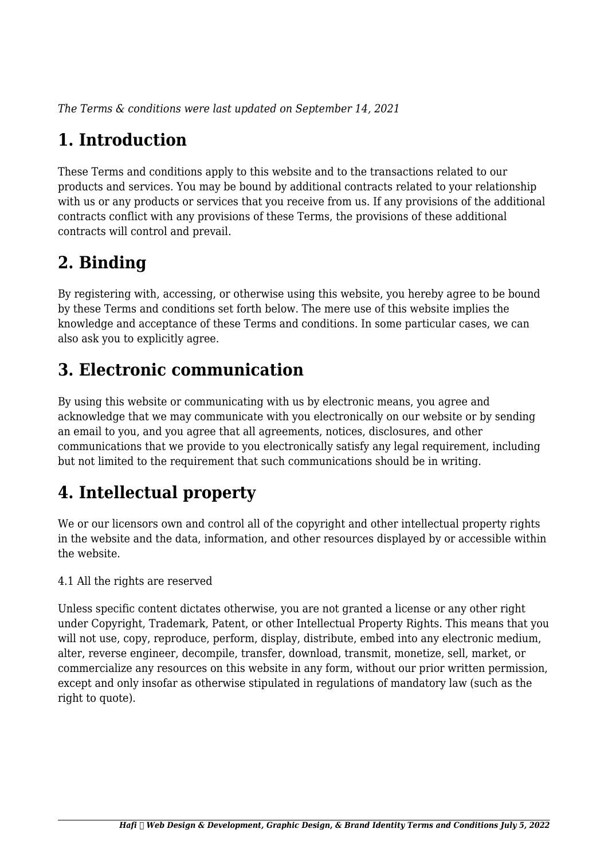*The Terms & conditions were last updated on September 14, 2021*

# **1. Introduction**

These Terms and conditions apply to this website and to the transactions related to our products and services. You may be bound by additional contracts related to your relationship with us or any products or services that you receive from us. If any provisions of the additional contracts conflict with any provisions of these Terms, the provisions of these additional contracts will control and prevail.

# **2. Binding**

By registering with, accessing, or otherwise using this website, you hereby agree to be bound by these Terms and conditions set forth below. The mere use of this website implies the knowledge and acceptance of these Terms and conditions. In some particular cases, we can also ask you to explicitly agree.

# **3. Electronic communication**

By using this website or communicating with us by electronic means, you agree and acknowledge that we may communicate with you electronically on our website or by sending an email to you, and you agree that all agreements, notices, disclosures, and other communications that we provide to you electronically satisfy any legal requirement, including but not limited to the requirement that such communications should be in writing.

# **4. Intellectual property**

We or our licensors own and control all of the copyright and other intellectual property rights in the website and the data, information, and other resources displayed by or accessible within the website.

4.1 All the rights are reserved

Unless specific content dictates otherwise, you are not granted a license or any other right under Copyright, Trademark, Patent, or other Intellectual Property Rights. This means that you will not use, copy, reproduce, perform, display, distribute, embed into any electronic medium, alter, reverse engineer, decompile, transfer, download, transmit, monetize, sell, market, or commercialize any resources on this website in any form, without our prior written permission, except and only insofar as otherwise stipulated in regulations of mandatory law (such as the right to quote).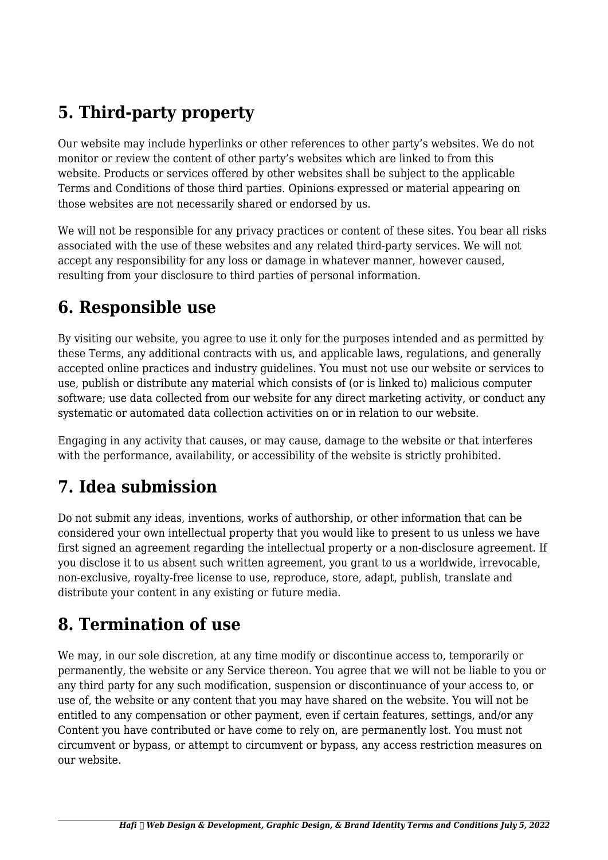# **5. Third-party property**

Our website may include hyperlinks or other references to other party's websites. We do not monitor or review the content of other party's websites which are linked to from this website. Products or services offered by other websites shall be subject to the applicable Terms and Conditions of those third parties. Opinions expressed or material appearing on those websites are not necessarily shared or endorsed by us.

We will not be responsible for any privacy practices or content of these sites. You bear all risks associated with the use of these websites and any related third-party services. We will not accept any responsibility for any loss or damage in whatever manner, however caused, resulting from your disclosure to third parties of personal information.

### **6. Responsible use**

By visiting our website, you agree to use it only for the purposes intended and as permitted by these Terms, any additional contracts with us, and applicable laws, regulations, and generally accepted online practices and industry guidelines. You must not use our website or services to use, publish or distribute any material which consists of (or is linked to) malicious computer software; use data collected from our website for any direct marketing activity, or conduct any systematic or automated data collection activities on or in relation to our website.

Engaging in any activity that causes, or may cause, damage to the website or that interferes with the performance, availability, or accessibility of the website is strictly prohibited.

## **7. Idea submission**

Do not submit any ideas, inventions, works of authorship, or other information that can be considered your own intellectual property that you would like to present to us unless we have first signed an agreement regarding the intellectual property or a non-disclosure agreement. If you disclose it to us absent such written agreement, you grant to us a worldwide, irrevocable, non-exclusive, royalty-free license to use, reproduce, store, adapt, publish, translate and distribute your content in any existing or future media.

### **8. Termination of use**

We may, in our sole discretion, at any time modify or discontinue access to, temporarily or permanently, the website or any Service thereon. You agree that we will not be liable to you or any third party for any such modification, suspension or discontinuance of your access to, or use of, the website or any content that you may have shared on the website. You will not be entitled to any compensation or other payment, even if certain features, settings, and/or any Content you have contributed or have come to rely on, are permanently lost. You must not circumvent or bypass, or attempt to circumvent or bypass, any access restriction measures on our website.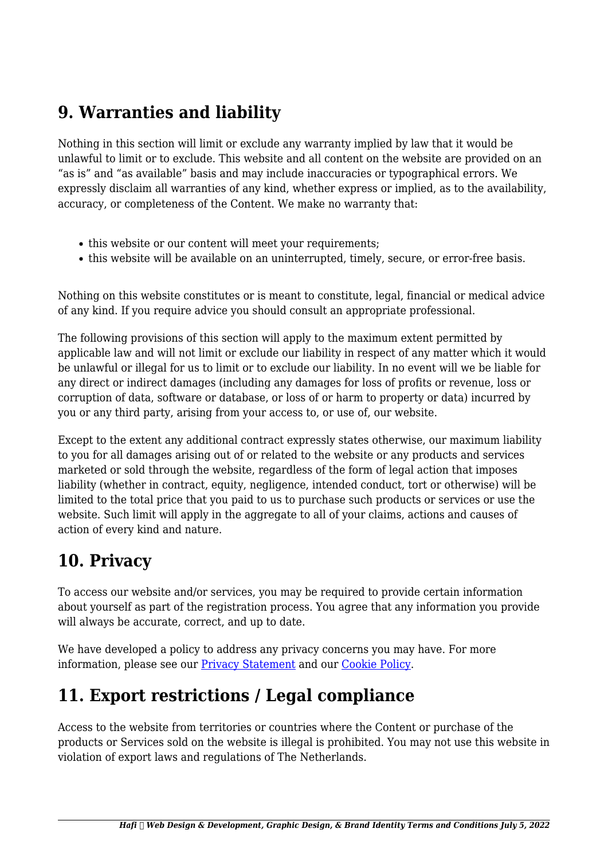### **9. Warranties and liability**

Nothing in this section will limit or exclude any warranty implied by law that it would be unlawful to limit or to exclude. This website and all content on the website are provided on an "as is" and "as available" basis and may include inaccuracies or typographical errors. We expressly disclaim all warranties of any kind, whether express or implied, as to the availability, accuracy, or completeness of the Content. We make no warranty that:

- this website or our content will meet your requirements;
- this website will be available on an uninterrupted, timely, secure, or error-free basis.

Nothing on this website constitutes or is meant to constitute, legal, financial or medical advice of any kind. If you require advice you should consult an appropriate professional.

The following provisions of this section will apply to the maximum extent permitted by applicable law and will not limit or exclude our liability in respect of any matter which it would be unlawful or illegal for us to limit or to exclude our liability. In no event will we be liable for any direct or indirect damages (including any damages for loss of profits or revenue, loss or corruption of data, software or database, or loss of or harm to property or data) incurred by you or any third party, arising from your access to, or use of, our website.

Except to the extent any additional contract expressly states otherwise, our maximum liability to you for all damages arising out of or related to the website or any products and services marketed or sold through the website, regardless of the form of legal action that imposes liability (whether in contract, equity, negligence, intended conduct, tort or otherwise) will be limited to the total price that you paid to us to purchase such products or services or use the website. Such limit will apply in the aggregate to all of your claims, actions and causes of action of every kind and nature.

### **10. Privacy**

To access our website and/or services, you may be required to provide certain information about yourself as part of the registration process. You agree that any information you provide will always be accurate, correct, and up to date.

We have developed a policy to address any privacy concerns you may have. For more information, please see our **Privacy Statement** and our [Cookie Policy](https://wearehafi.com/cookie-policy-eu/?cmplz_region_redirect=true).

## **11. Export restrictions / Legal compliance**

Access to the website from territories or countries where the Content or purchase of the products or Services sold on the website is illegal is prohibited. You may not use this website in violation of export laws and regulations of The Netherlands.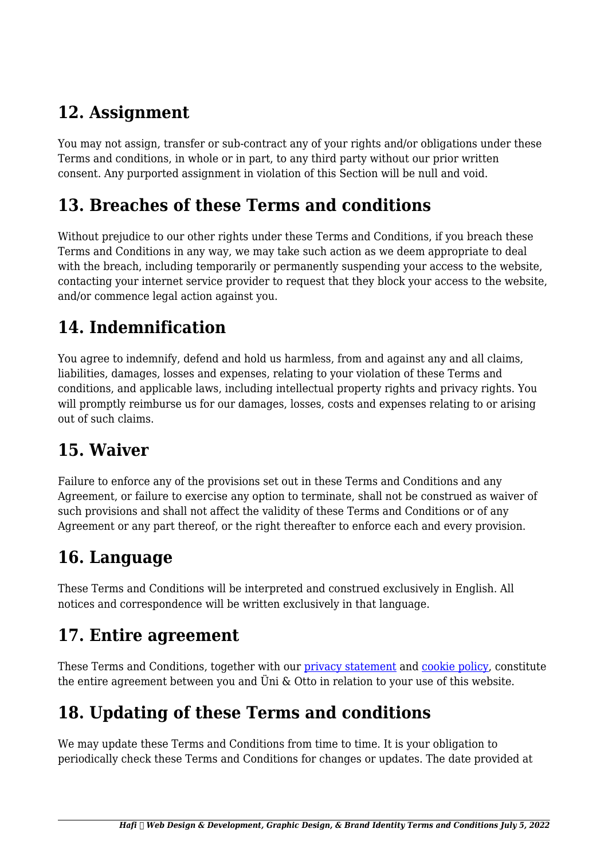## **12. Assignment**

You may not assign, transfer or sub-contract any of your rights and/or obligations under these Terms and conditions, in whole or in part, to any third party without our prior written consent. Any purported assignment in violation of this Section will be null and void.

#### **13. Breaches of these Terms and conditions**

Without prejudice to our other rights under these Terms and Conditions, if you breach these Terms and Conditions in any way, we may take such action as we deem appropriate to deal with the breach, including temporarily or permanently suspending your access to the website, contacting your internet service provider to request that they block your access to the website, and/or commence legal action against you.

# **14. Indemnification**

You agree to indemnify, defend and hold us harmless, from and against any and all claims, liabilities, damages, losses and expenses, relating to your violation of these Terms and conditions, and applicable laws, including intellectual property rights and privacy rights. You will promptly reimburse us for our damages, losses, costs and expenses relating to or arising out of such claims.

### **15. Waiver**

Failure to enforce any of the provisions set out in these Terms and Conditions and any Agreement, or failure to exercise any option to terminate, shall not be construed as waiver of such provisions and shall not affect the validity of these Terms and Conditions or of any Agreement or any part thereof, or the right thereafter to enforce each and every provision.

## **16. Language**

These Terms and Conditions will be interpreted and construed exclusively in English. All notices and correspondence will be written exclusively in that language.

### **17. Entire agreement**

These Terms and Conditions, together with our [privacy statement](https://wearehafi.com/privacy-statement-eu/?cmplz_region_redirect=true) and [cookie policy,](https://wearehafi.com/cookie-policy-eu/?cmplz_region_redirect=true) constitute the entire agreement between you and Üni & Otto in relation to your use of this website.

# **18. Updating of these Terms and conditions**

We may update these Terms and Conditions from time to time. It is your obligation to periodically check these Terms and Conditions for changes or updates. The date provided at